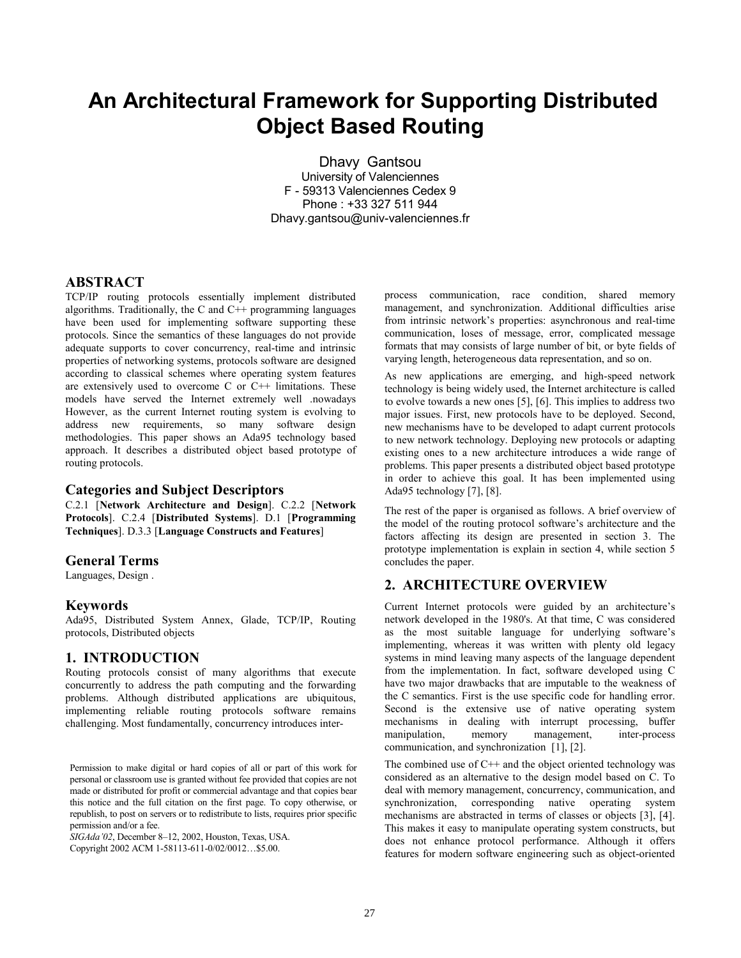# **An Architectural Framework for Supporting Distributed Object Based Routing**

 Dhavy Gantsou University of Valenciennes F - 59313 Valenciennes Cedex 9 Phone : +33 327 511 944 Dhavy.gantsou@univ-valenciennes.fr

## **ABSTRACT**

TCP/IP routing protocols essentially implement distributed algorithms. Traditionally, the C and  $C^{++}$  programming languages have been used for implementing software supporting these protocols. Since the semantics of these languages do not provide adequate supports to cover concurrency, real-time and intrinsic properties of networking systems, protocols software are designed according to classical schemes where operating system features are extensively used to overcome C or C++ limitations. These models have served the Internet extremely well .nowadays However, as the current Internet routing system is evolving to address new requirements, so many software design methodologies. This paper shows an Ada95 technology based approach. It describes a distributed object based prototype of routing protocols.

### **Categories and Subject Descriptors**

C.2.1 [**Network Architecture and Design**]. C.2.2 [**Network Protocols**]. C.2.4 [**Distributed Systems**]. D.1 [**Programming Techniques**]. D.3.3 [**Language Constructs and Features**]

#### **General Terms**

Languages, Design .

#### **Keywords**

Ada95, Distributed System Annex, Glade, TCP/IP, Routing protocols, Distributed objects

### **1. INTRODUCTION**

Routing protocols consist of many algorithms that execute concurrently to address the path computing and the forwarding problems. Although distributed applications are ubiquitous, implementing reliable routing protocols software remains challenging. Most fundamentally, concurrency introduces interprocess communication, race condition, shared memory management, and synchronization. Additional difficulties arise from intrinsic network's properties: asynchronous and real-time communication, loses of message, error, complicated message formats that may consists of large number of bit, or byte fields of varying length, heterogeneous data representation, and so on.

As new applications are emerging, and high-speed network technology is being widely used, the Internet architecture is called to evolve towards a new ones [5], [6]. This implies to address two major issues. First, new protocols have to be deployed. Second, new mechanisms have to be developed to adapt current protocols to new network technology. Deploying new protocols or adapting existing ones to a new architecture introduces a wide range of problems. This paper presents a distributed object based prototype in order to achieve this goal. It has been implemented using Ada95 technology [7], [8].

The rest of the paper is organised as follows. A brief overview of the model of the routing protocol software's architecture and the factors affecting its design are presented in section 3. The prototype implementation is explain in section 4, while section 5 concludes the paper.

## **2. ARCHITECTURE OVERVIEW**

Current Internet protocols were guided by an architecture's network developed in the 1980's. At that time, C was considered as the most suitable language for underlying software's implementing, whereas it was written with plenty old legacy systems in mind leaving many aspects of the language dependent from the implementation. In fact, software developed using C have two major drawbacks that are imputable to the weakness of the C semantics. First is the use specific code for handling error. Second is the extensive use of native operating system mechanisms in dealing with interrupt processing, buffer manipulation, memory management, inter-process communication, and synchronization [1], [2].

The combined use of C++ and the object oriented technology was considered as an alternative to the design model based on C. To deal with memory management, concurrency, communication, and synchronization, corresponding native operating system mechanisms are abstracted in terms of classes or objects [3], [4]. This makes it easy to manipulate operating system constructs, but does not enhance protocol performance. Although it offers features for modern software engineering such as object-oriented

Permission to make digital or hard copies of all or part of this work for personal or classroom use is granted without fee provided that copies are not made or distributed for profit or commercial advantage and that copies bear this notice and the full citation on the first page. To copy otherwise, or republish, to post on servers or to redistribute to lists, requires prior specific permission and/or a fee.

*SIGAda'02*, December 8–12, 2002, Houston, Texas, USA.

Copyright 2002 ACM 1-58113-611-0/02/0012…\$5.00.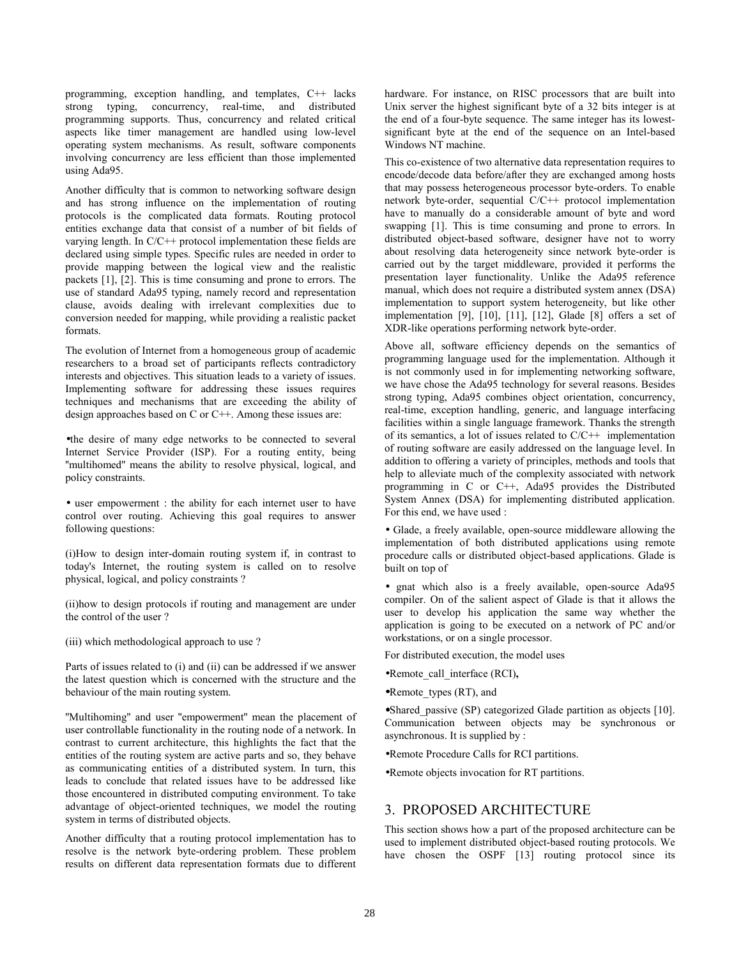programming, exception handling, and templates, C++ lacks strong typing, concurrency, real-time, and distributed programming supports. Thus, concurrency and related critical aspects like timer management are handled using low-level operating system mechanisms. As result, software components involving concurrency are less efficient than those implemented using Ada95.

Another difficulty that is common to networking software design and has strong influence on the implementation of routing protocols is the complicated data formats. Routing protocol entities exchange data that consist of a number of bit fields of varying length. In C/C++ protocol implementation these fields are declared using simple types. Specific rules are needed in order to provide mapping between the logical view and the realistic packets [1], [2]. This is time consuming and prone to errors. The use of standard Ada95 typing, namely record and representation clause, avoids dealing with irrelevant complexities due to conversion needed for mapping, while providing a realistic packet formats.

The evolution of Internet from a homogeneous group of academic researchers to a broad set of participants reflects contradictory interests and objectives. This situation leads to a variety of issues. Implementing software for addressing these issues requires techniques and mechanisms that are exceeding the ability of design approaches based on C or C++. Among these issues are:

•the desire of many edge networks to be connected to several Internet Service Provider (ISP). For a routing entity, being ''multihomed'' means the ability to resolve physical, logical, and policy constraints.

• user empowerment : the ability for each internet user to have control over routing. Achieving this goal requires to answer following questions:

(i)How to design inter-domain routing system if, in contrast to today's Internet, the routing system is called on to resolve physical, logical, and policy constraints ?

(ii)how to design protocols if routing and management are under the control of the user ?

(iii) which methodological approach to use ?

Parts of issues related to (i) and (ii) can be addressed if we answer the latest question which is concerned with the structure and the behaviour of the main routing system.

''Multihoming'' and user ''empowerment'' mean the placement of user controllable functionality in the routing node of a network. In contrast to current architecture, this highlights the fact that the entities of the routing system are active parts and so, they behave as communicating entities of a distributed system. In turn, this leads to conclude that related issues have to be addressed like those encountered in distributed computing environment. To take advantage of object-oriented techniques, we model the routing system in terms of distributed objects.

Another difficulty that a routing protocol implementation has to resolve is the network byte-ordering problem. These problem results on different data representation formats due to different

hardware. For instance, on RISC processors that are built into Unix server the highest significant byte of a 32 bits integer is at the end of a four-byte sequence. The same integer has its lowestsignificant byte at the end of the sequence on an Intel-based Windows NT machine.

This co-existence of two alternative data representation requires to encode/decode data before/after they are exchanged among hosts that may possess heterogeneous processor byte-orders. To enable network byte-order, sequential C/C++ protocol implementation have to manually do a considerable amount of byte and word swapping [1]. This is time consuming and prone to errors. In distributed object-based software, designer have not to worry about resolving data heterogeneity since network byte-order is carried out by the target middleware, provided it performs the presentation layer functionality. Unlike the Ada95 reference manual, which does not require a distributed system annex (DSA) implementation to support system heterogeneity, but like other implementation [9], [10], [11], [12], Glade [8] offers a set of XDR-like operations performing network byte-order.

Above all, software efficiency depends on the semantics of programming language used for the implementation. Although it is not commonly used in for implementing networking software, we have chose the Ada95 technology for several reasons. Besides strong typing, Ada95 combines object orientation, concurrency, real-time, exception handling, generic, and language interfacing facilities within a single language framework. Thanks the strength of its semantics, a lot of issues related to C/C++ implementation of routing software are easily addressed on the language level. In addition to offering a variety of principles, methods and tools that help to alleviate much of the complexity associated with network programming in C or C++, Ada95 provides the Distributed System Annex (DSA) for implementing distributed application. For this end, we have used :

• Glade, a freely available, open-source middleware allowing the implementation of both distributed applications using remote procedure calls or distributed object-based applications. Glade is built on top of

• gnat which also is a freely available, open-source Ada95 compiler. On of the salient aspect of Glade is that it allows the user to develop his application the same way whether the application is going to be executed on a network of PC and/or workstations, or on a single processor.

For distributed execution, the model uses

•Remote\_call\_interface (RCI)**,** 

•Remote types (RT), and

•Shared\_passive (SP) categorized Glade partition as objects [10]. Communication between objects may be synchronous or asynchronous. It is supplied by :

•Remote Procedure Calls for RCI partitions.

•Remote objects invocation for RT partitions.

## 3. PROPOSED ARCHITECTURE

This section shows how a part of the proposed architecture can be used to implement distributed object-based routing protocols. We have chosen the OSPF [13] routing protocol since its